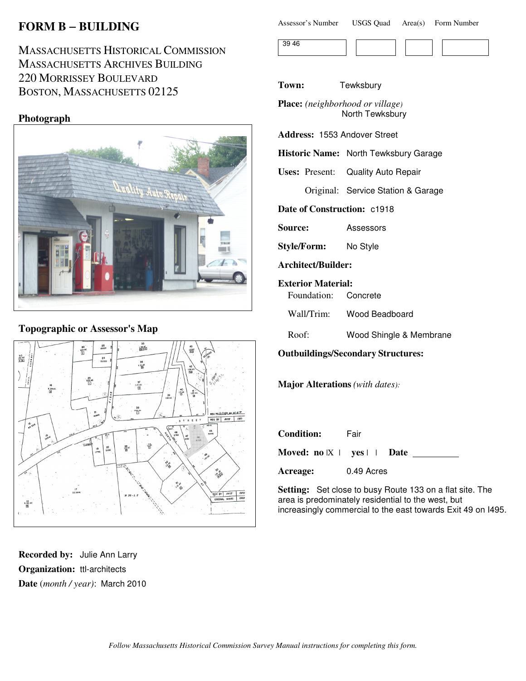# **FORM B** − **BUILDING**

## MASSACHUSETTS HISTORICAL COMMISSION MASSACHUSETTS ARCHIVES BUILDING 220 MORRISSEY BOULEVARD BOSTON, MASSACHUSETTS 02125

### **Photograph**



### **Topographic or Assessor's Map**



**Recorded by:** Julie Ann Larry **Organization:** ttl-architects **Date** (*month / year)*: March 2010

| Assessor's Number | <b>USGS Quad</b> |  | Area(s) Form Number |
|-------------------|------------------|--|---------------------|
|-------------------|------------------|--|---------------------|

| $\sim$ |  |  |  |
|--------|--|--|--|
|        |  |  |  |

**Town:** Tewksbury

**Place:** *(neighborhood or village)* North Tewksbury

**Address:** 1553 Andover Street

**Historic Name:** North Tewksbury Garage

**Uses:** Present: Quality Auto Repair

Original: Service Station & Garage

**Date of Construction:** c1918

**Source:** Assessors

**Style/Form:** No Style

**Architect/Builder:**

**Exterior Material:**

Foundation: Concrete

Wall/Trim: Wood Beadboard

Roof: Wood Shingle & Membrane

**Outbuildings/Secondary Structures:**

**Major Alterations** *(with dates):*

| <b>Condition:</b>                     | Fair       |
|---------------------------------------|------------|
| Moved: $no \tImes \tImes \tImes$ Date |            |
| Acreage:                              | 0.49 Acres |

**Setting:** Set close to busy Route 133 on a flat site. The area is predominately residential to the west, but increasingly commercial to the east towards Exit 49 on I495.